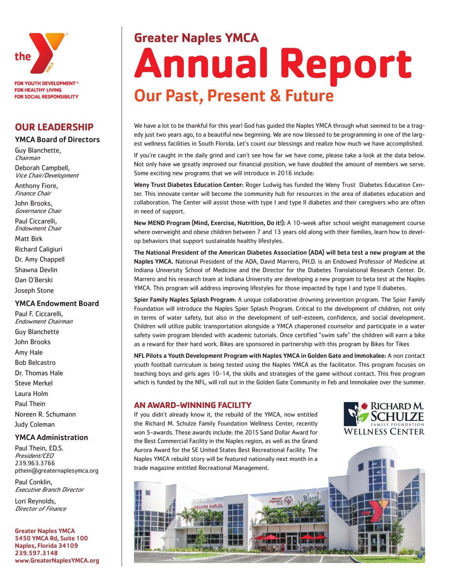

# **OUR LEADERSHIP**

# YMCA Board of Directors

Guy Blanchette, Chairman

Deborah Campbell, Vice Chair/Development

Anthony Fiore, Finance Chair

John Brooks, Governance Chair

Paul Ciccarelli, Endowment Chair

Matt Birk

Richard Caligiuri

Dr. Amy Chappell

Shawna Devlin

Dan O'Berski

Joseph Stone

#### YMCA Endowment Board

Paul F. Ciccarelli, Endowment Chairman Guy Blanchette John Brooks Amy Hale Bob Belcastro Dr. Thomas Hale Steve Merkel Laura Holm Paul Thein Noreen R. Schumann Judy Coleman

### YMCA Administration

Paul Thein, ED.S. President/CEO 239.963.3766 pthein@greaternaplesymca.org

Paul Conklin, Executive Branch Director

Lori Reynolds, Director of Finance

Greater Naples YMCA 5450 YMCA Rd, Suite 100 Naples, Florida 34109 239.597.3148 www.GreaterNaplesYMCA.org

# **Greater Naples YMCA Annual Report** Our Past, Present & Future

We have a lot to be thankful for this year! God has guided the Naples YMCA through what seemed to be a tragedy just two years ago, to a beautiful new beginning. We are now blessed to be programming in one of the largest wellness facilities in South Florida. Let's count our blessings and realize how much we have accomplished.

If you're caught in the daily grind and can't see how far we have come, please take a look at the data below. Not only have we greatly improved our financial position, we have doubled the amount of members we serve. Some exciting new programs that we will introduce in 2016 include:

Weny Trust Diabetes Education Center: Roger Ludwig has funded the Weny Trust Diabetes Education Center. This innovate center will become the community hub for resources in the area of diabetes education and collaboration. The Center will assist those with type I and type II diabetes and their caregivers who are often in need of support.

New MEND Program (Mind, Exercise, Nutrition, Do it!): A 10-week after school weight management course where overweight and obese children between 7 and 13 years old along with their families, learn how to develop behaviors that support sustainable healthy lifestyles.

The National President of the American Diabetes Association (ADA) will beta test a new program at the Naples YMCA. National President of the ADA, David Marrero, PH.D. is an Endowed Professor of Medicine at Indiana University School of Medicine and the Director for the Diabetes Translational Research Center. Dr. Marrero and his research team at Indiana University are developing a new program to beta test at the Naples YMCA. This program will address improving lifestyles for those impacted by type I and type II diabetes.

Spier Family Naples Splash Program: A unique collaborative drowning prevention program. The Spier Family Foundation will introduce the Naples Spier Splash Program. Critical to the development of children, not only in terms of water safety, but also in the development of self-esteem, confidence, and social development. Children will utilize public transportation alongside a YMCA chaperoned counselor and participate in a water safety swim program blended with academic tutorials. Once certified "swim safe" the children will earn a bike as a reward for their hard work. Bikes are sponsored in partnership with this program by Bikes for Tikes

NFL Pilots a Youth Development Program with Naples YMCA in Golden Gate and Immokalee: A non contact youth football curriculum is being tested using the Naples YMCA as the facilitator. This program focuses on teaching boys and girls ages 10-14, the skills and strategies of the game without contact. This free program which is funded by the NFL, will roll out in the Golden Gate Community in Feb and Immokalee over the summer.

# **AN AWARD-WINNING FACILITY**

If you didn't already know it, the rebuild of the YMCA, now entitled the Richard M. Schulze Family Foundation Wellness Center, recently won 5-awards. These awards include: the 2015 Sand Dollar Award for the Best Commercial Facility in the Naples region, as well as the Grand Aurora Award for the SE United States Best Recreational Facility. The Naples YMCA rebuild story will be featured nationally next month in a trade magazine entitled Recreational Management.